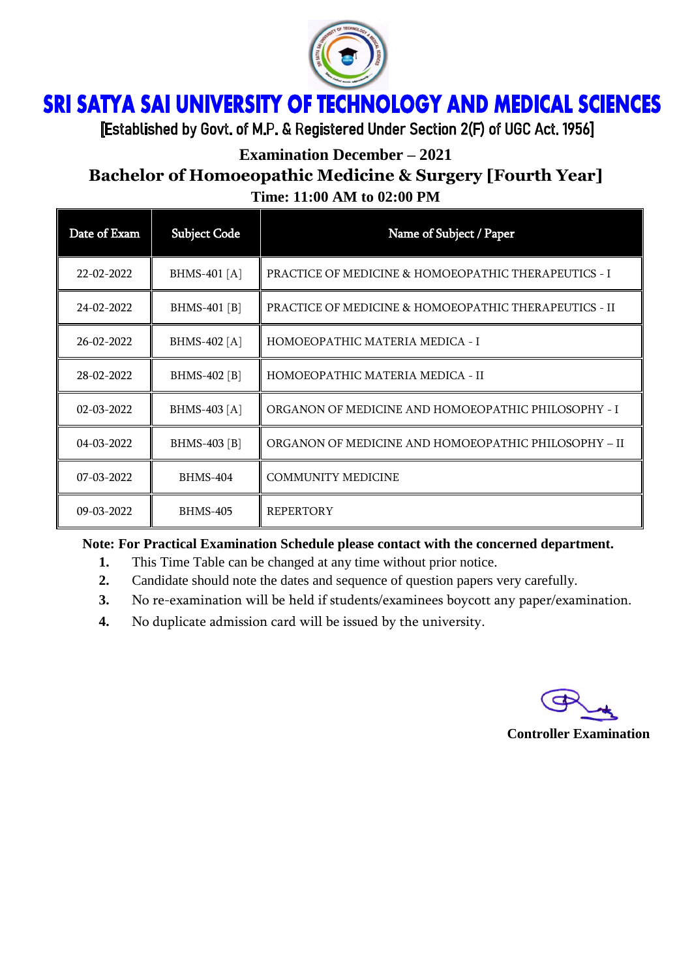

## **SRI SATYA SAI UNIVERSITY OF TECHNOLOGY AND MEDICAL SCIENCES** Ï

[Established by Govt. of M.P. & Registered Under Section 2(F) of UGC Act. 1956]

**Examination December – 2021**

# **Bachelor of Homoeopathic Medicine & Surgery [Fourth Year] Time: 11:00 AM to 02:00 PM**

| Date of Exam | <b>Subject Code</b> | Name of Subject / Paper                                          |
|--------------|---------------------|------------------------------------------------------------------|
| 22-02-2022   | BHMS-401 [A]        | <b>PRACTICE OF MEDICINE &amp; HOMOEOPATHIC THERAPEUTICS - I</b>  |
| 24-02-2022   | BHMS-401 [B]        | <b>PRACTICE OF MEDICINE &amp; HOMOEOPATHIC THERAPEUTICS - II</b> |
| 26-02-2022   | BHMS-402 [A]        | HOMOEOPATHIC MATERIA MEDICA - I                                  |
| 28-02-2022   | BHMS-402 [B]        | HOMOEOPATHIC MATERIA MEDICA - II                                 |
| 02-03-2022   | BHMS-403 [A]        | ORGANON OF MEDICINE AND HOMOEOPATHIC PHILOSOPHY - I              |
| 04-03-2022   | BHMS-403 [B]        | ORGANON OF MEDICINE AND HOMOEOPATHIC PHILOSOPHY - II             |
| 07-03-2022   | <b>BHMS-404</b>     | <b>COMMUNITY MEDICINE</b>                                        |
| 09-03-2022   | <b>BHMS-405</b>     | <b>REPERTORY</b>                                                 |

### **Note: For Practical Examination Schedule please contact with the concerned department.**

- **1.** This Time Table can be changed at any time without prior notice.
- **2.** Candidate should note the dates and sequence of question papers very carefully.
- **3.** No re-examination will be held if students/examinees boycott any paper/examination.
- **4.** No duplicate admission card will be issued by the university.

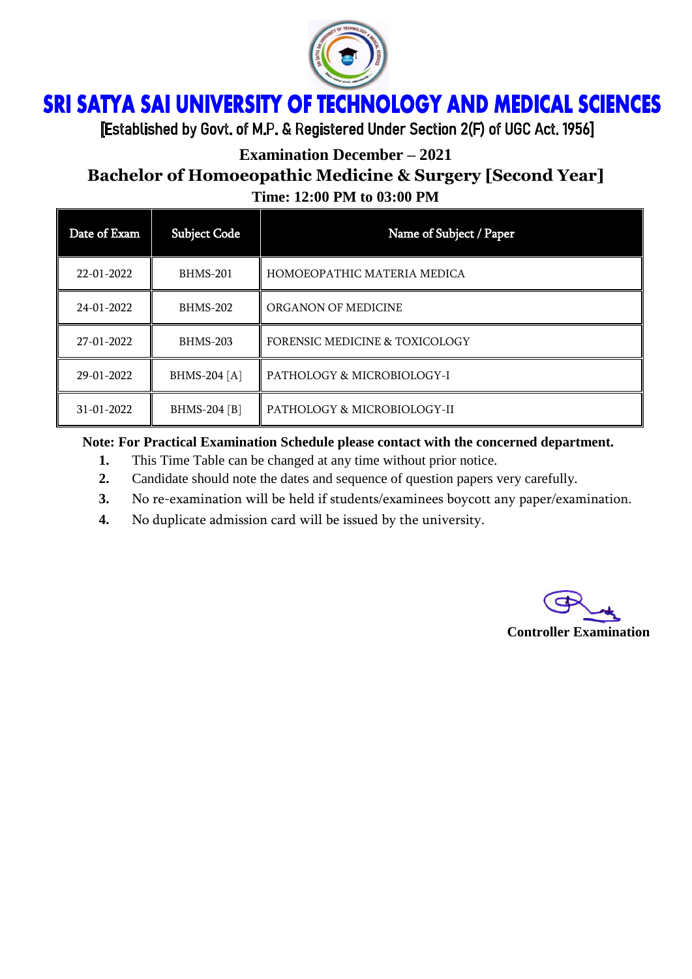

## ì Ï

[Established by Govt. of M.P. & Registered Under Section 2(F) of UGC Act. 1956]

**Examination December – 2021**

# **Bachelor of Homoeopathic Medicine & Surgery [Second Year] Time: 12:00 PM to 03:00 PM**

| Date of Exam | <b>Subject Code</b> | Name of Subject / Paper                   |
|--------------|---------------------|-------------------------------------------|
| 22-01-2022   | BHMS-201            | HOMOEOPATHIC MATERIA MEDICA               |
| 24-01-2022   | <b>BHMS-202</b>     | ORGANON OF MEDICINE                       |
| 27-01-2022   | <b>BHMS-203</b>     | <b>FORENSIC MEDICINE &amp; TOXICOLOGY</b> |
| 29-01-2022   | BHMS-204 [A]        | PATHOLOGY & MICROBIOLOGY-I                |
| 31-01-2022   | BHMS-204 [B]        | PATHOLOGY & MICROBIOLOGY-II               |

## **Note: For Practical Examination Schedule please contact with the concerned department.**

- **1.** This Time Table can be changed at any time without prior notice.
- **2.** Candidate should note the dates and sequence of question papers very carefully.
- **3.** No re-examination will be held if students/examinees boycott any paper/examination.
- **4.** No duplicate admission card will be issued by the university.

**Controller Examination**